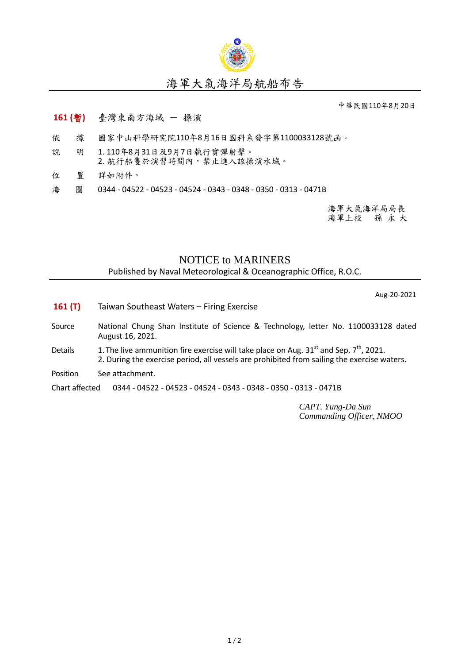

## 海軍大氣海洋局航船布告

中華民國110年8月20日

## **161 (**暫**)** 臺灣東南方海域 - 操演

- 依 據 國家中山科學研究院110年8月16日國科系發字第1100033128號函。
- 說 明 1. 110年8月31日及9月7日執行實彈射擊。 2. 航行船隻於演習時間內,禁止進入該操演水域。
- 位 置 詳如附件。
- 海 圖 0344 04522 04523 04524 0343 0348 0350 0313 0471B

海軍大氣海洋局局長 海軍上校 孫 永 大

## NOTICE to MARINERS

Published by Naval Meteorological & Oceanographic Office, R.O.C.

Aug-20-2021

- **161 (T)** Taiwan Southeast Waters Firing Exercise
- Source National Chung Shan Institute of Science & Technology, letter No. 1100033128 dated August 16, 2021.
- Details 1. The live ammunition fire exercise will take place on Aug.  $31<sup>st</sup>$  and Sep.  $7<sup>th</sup>$ , 2021. 2. During the exercise period, all vessels are prohibited from sailing the exercise waters.
- Position See attachment.

Chart affected 0344 - 04522 - 04523 - 04524 - 0343 - 0348 - 0350 - 0313 - 0471B

*CAPT. Yung-Da Sun Commanding Officer, NMOO*